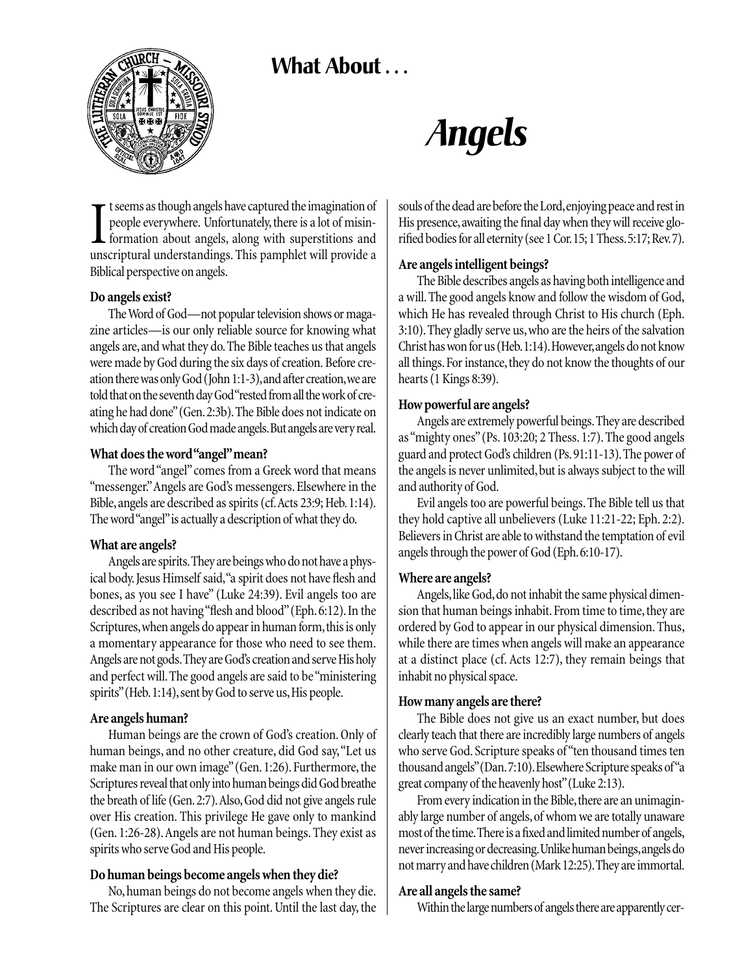# **What About . . .**



# *Angels*

I tseems as though angels have captured the imagination of people everywhere. Unfortunately, there is a lot of misin-<br>formation about angels, along with superstitions and<br>unscriptural understandings. This pamphlet will pro t seems as though angels have captured the imagination of people everywhere. Unfortunately, there is a lot of misinformation about angels, along with superstitions and Biblical perspective on angels.

#### **Do angels exist?**

The Word of God—not popular television shows or magazine articles—is our only reliable source for knowing what angels are, and what they do. The Bible teaches us that angels were made by God during the six days of creation. Before creation there was only God (John 1:1-3),and after creation,we are told that on the seventh day God "rested from all the work of creating he had done"(Gen.2:3b).The Bible does not indicate on which day of creation God made angels.But angels are very real.

#### **What does the word "angel"mean?**

The word "angel" comes from a Greek word that means "messenger."Angels are God's messengers. Elsewhere in the Bible, angels are described as spirits (cf. Acts 23:9; Heb. 1:14). The word "angel"is actually a description of what they do.

# **What are angels?**

Angels are spirits.They are beings who do not have a physical body. Jesus Himself said, "a spirit does not have flesh and bones, as you see I have" (Luke 24:39). Evil angels too are described as not having "flesh and blood"(Eph. 6:12). In the Scriptures, when angels do appear in human form, this is only a momentary appearance for those who need to see them. Angels are not gods.They are God's creation and serve His holy and perfect will. The good angels are said to be "ministering spirits" (Heb. 1:14), sent by God to serve us, His people.

#### **Are angels human?**

Human beings are the crown of God's creation. Only of human beings, and no other creature, did God say,"Let us make man in our own image"(Gen. 1:26). Furthermore, the Scriptures reveal that only into human beings did God breathe the breath of life (Gen.2:7).Also,God did not give angels rule over His creation. This privilege He gave only to mankind (Gen. 1:26-28).Angels are not human beings. They exist as spirits who serve God and His people.

#### **Do human beings become angels when they die?**

No, human beings do not become angels when they die. The Scriptures are clear on this point. Until the last day, the souls of the dead are before the Lord,enjoying peace and rest in His presence, awaiting the final day when they will receive glorified bodies for all eternity (see 1 Cor.15; 1 Thess.5:17; Rev.7).

#### **Are angels intelligent beings?**

The Bible describes angels as having both intelligence and a will.The good angels know and follow the wisdom of God, which He has revealed through Christ to His church (Eph. 3:10).They gladly serve us, who are the heirs of the salvation Christ has won for us (Heb.1:14).However,angels do not know all things. For instance, they do not know the thoughts of our hearts (1 Kings 8:39).

# **How powerful are angels?**

Angels are extremely powerful beings.They are described as "mighty ones"(Ps. 103:20; 2 Thess. 1:7). The good angels guard and protect God's children (Ps.91:11-13).The power of the angels is never unlimited,but is always subject to the will and authority of God.

Evil angels too are powerful beings. The Bible tell us that they hold captive all unbelievers (Luke 11:21-22; Eph. 2:2). Believers in Christ are able to withstand the temptation of evil angels through the power of God (Eph.6:10-17).

# **Where are angels?**

Angels, like God, do not inhabit the same physical dimension that human beings inhabit. From time to time, they are ordered by God to appear in our physical dimension. Thus, while there are times when angels will make an appearance at a distinct place (cf. Acts 12:7), they remain beings that inhabit no physical space.

# **How many angels are there?**

The Bible does not give us an exact number, but does clearly teach that there are incredibly large numbers of angels who serve God. Scripture speaks of "ten thousand times ten thousand angels"(Dan.7:10).Elsewhere Scripture speaks of"a great company of the heavenly host"(Luke 2:13).

From every indication in the Bible, there are an unimaginably large number of angels,of whom we are totally unaware most of the time.There is a fixed and limited number of angels, never increasing or decreasing.Unlike human beings,angels do not marry and have children (Mark 12:25).They are immortal.

# **Are all angels the same?**

Within the large numbers of angels there are apparently cer-